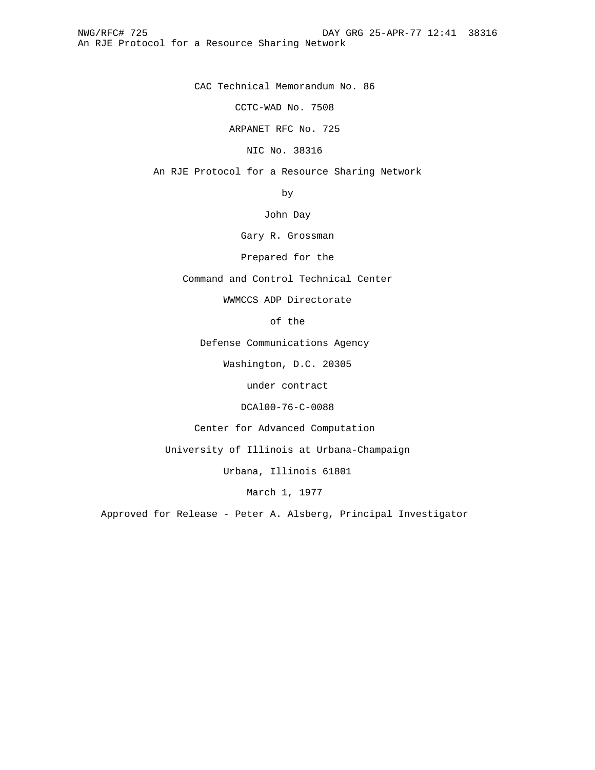CAC Technical Memorandum No. 86

CCTC-WAD No. 7508

ARPANET RFC No. 725

NIC No. 38316

An RJE Protocol for a Resource Sharing Network

by

John Day

Gary R. Grossman

Prepared for the

Command and Control Technical Center

WWMCCS ADP Directorate

of the

Defense Communications Agency

Washington, D.C. 20305

under contract

DCAl00-76-C-0088

Center for Advanced Computation

University of Illinois at Urbana-Champaign

Urbana, Illinois 61801

March 1, 1977

Approved for Release - Peter A. Alsberg, Principal Investigator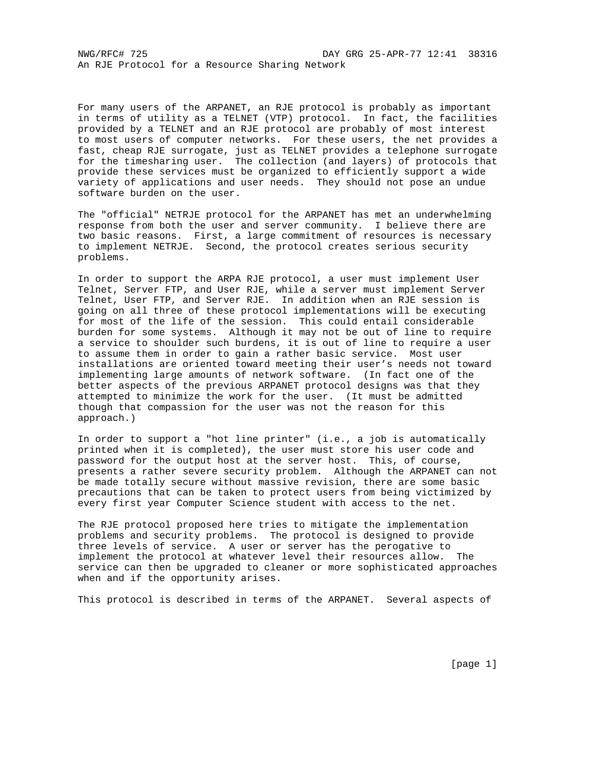For many users of the ARPANET, an RJE protocol is probably as important in terms of utility as a TELNET (VTP) protocol. In fact, the facilities provided by a TELNET and an RJE protocol are probably of most interest to most users of computer networks. For these users, the net provides a fast, cheap RJE surrogate, just as TELNET provides a telephone surrogate for the timesharing user. The collection (and layers) of protocols that provide these services must be organized to efficiently support a wide variety of applications and user needs. They should not pose an undue software burden on the user.

The "official" NETRJE protocol for the ARPANET has met an underwhelming response from both the user and server community. I believe there are two basic reasons. First, a large commitment of resources is necessary to implement NETRJE. Second, the protocol creates serious security problems.

In order to support the ARPA RJE protocol, a user must implement User Telnet, Server FTP, and User RJE, while a server must implement Server Telnet, User FTP, and Server RJE. In addition when an RJE session is going on all three of these protocol implementations will be executing for most of the life of the session. This could entail considerable burden for some systems. Although it may not be out of line to require a service to shoulder such burdens, it is out of line to require a user to assume them in order to gain a rather basic service. Most user installations are oriented toward meeting their user's needs not toward implementing large amounts of network software. (In fact one of the better aspects of the previous ARPANET protocol designs was that they attempted to minimize the work for the user. (It must be admitted though that compassion for the user was not the reason for this approach.)

In order to support a "hot line printer" (i.e., a job is automatically printed when it is completed), the user must store his user code and password for the output host at the server host. This, of course, presents a rather severe security problem. Although the ARPANET can not be made totally secure without massive revision, there are some basic precautions that can be taken to protect users from being victimized by every first year Computer Science student with access to the net.

The RJE protocol proposed here tries to mitigate the implementation problems and security problems. The protocol is designed to provide three levels of service. A user or server has the perogative to implement the protocol at whatever level their resources allow. The service can then be upgraded to cleaner or more sophisticated approaches when and if the opportunity arises.

This protocol is described in terms of the ARPANET. Several aspects of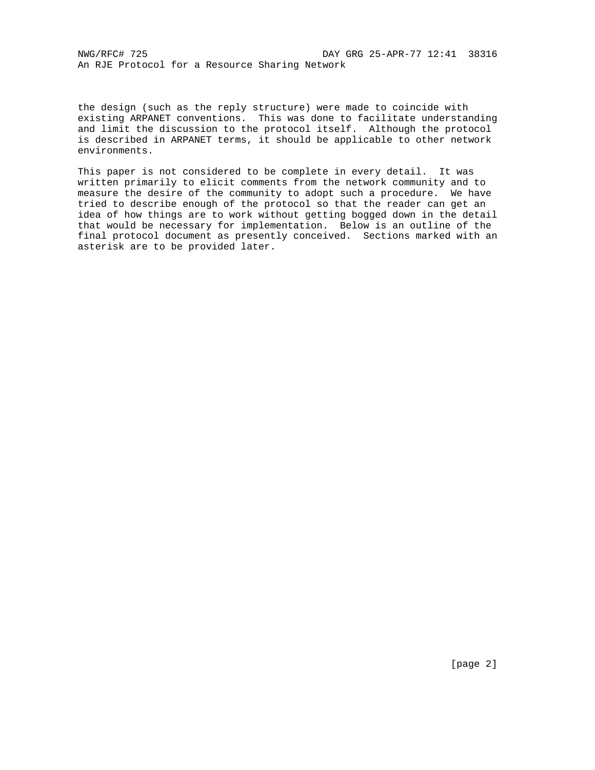the design (such as the reply structure) were made to coincide with existing ARPANET conventions. This was done to facilitate understanding and limit the discussion to the protocol itself. Although the protocol is described in ARPANET terms, it should be applicable to other network environments.

This paper is not considered to be complete in every detail. It was written primarily to elicit comments from the network community and to measure the desire of the community to adopt such a procedure. We have tried to describe enough of the protocol so that the reader can get an idea of how things are to work without getting bogged down in the detail that would be necessary for implementation. Below is an outline of the final protocol document as presently conceived. Sections marked with an asterisk are to be provided later.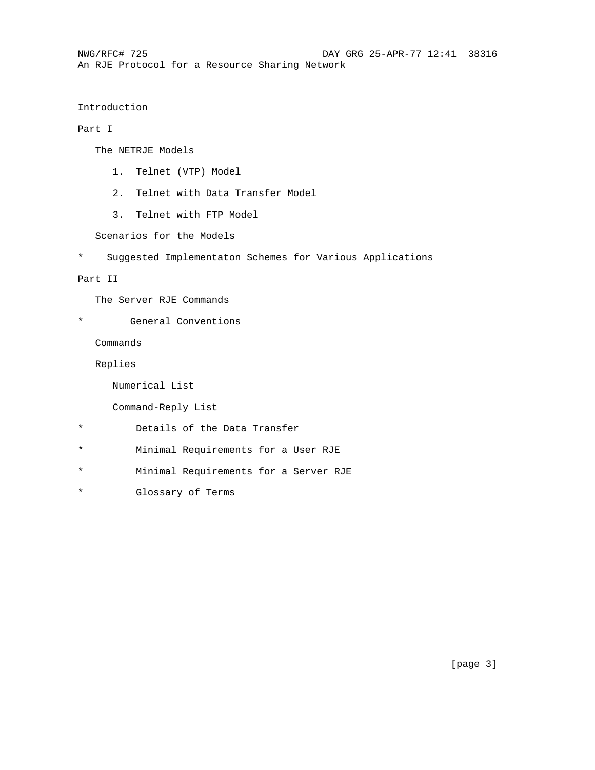```
Introduction
```
## Part I

The NETRJE Models

- 1. Telnet (VTP) Model
- 2. Telnet with Data Transfer Model
- 3. Telnet with FTP Model

Scenarios for the Models

\* Suggested Implementaton Schemes for Various Applications

# Part II

The Server RJE Commands

\* General Conventions

Commands

Replies

Numerical List

Command-Reply List

- \* Details of the Data Transfer
- \* Minimal Requirements for a User RJE
- \* Minimal Requirements for a Server RJE
- \* Glossary of Terms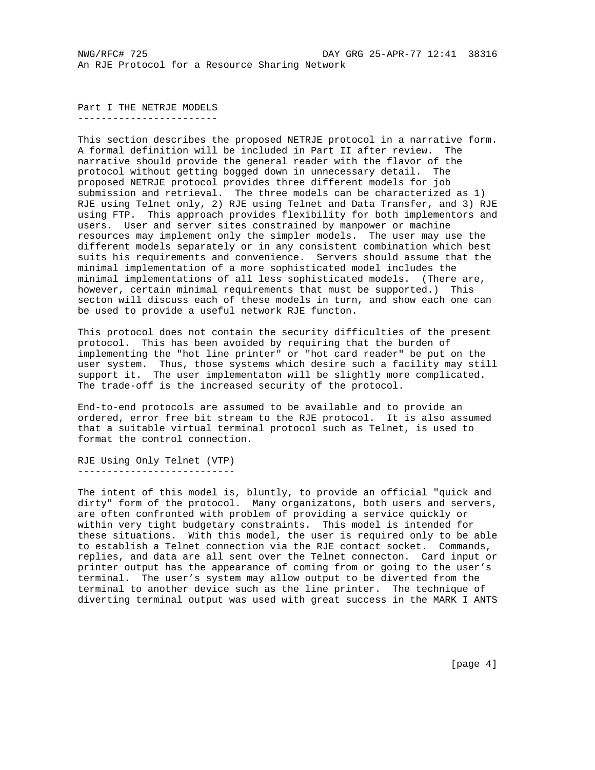Part I THE NETRJE MODELS ------------------------

This section describes the proposed NETRJE protocol in a narrative form. A formal definition will be included in Part II after review. The narrative should provide the general reader with the flavor of the protocol without getting bogged down in unnecessary detail. The proposed NETRJE protocol provides three different models for job submission and retrieval. The three models can be characterized as 1) RJE using Telnet only, 2) RJE using Telnet and Data Transfer, and 3) RJE using FTP. This approach provides flexibility for both implementors and users. User and server sites constrained by manpower or machine resources may implement only the simpler models. The user may use the different models separately or in any consistent combination which best suits his requirements and convenience. Servers should assume that the minimal implementation of a more sophisticated model includes the minimal implementations of all less sophisticated models. (There are, however, certain minimal requirements that must be supported.) This secton will discuss each of these models in turn, and show each one can be used to provide a useful network RJE functon.

This protocol does not contain the security difficulties of the present protocol. This has been avoided by requiring that the burden of implementing the "hot line printer" or "hot card reader" be put on the user system. Thus, those systems which desire such a facility may still support it. The user implementaton will be slightly more complicated. The trade-off is the increased security of the protocol.

End-to-end protocols are assumed to be available and to provide an ordered, error free bit stream to the RJE protocol. It is also assumed that a suitable virtual terminal protocol such as Telnet, is used to format the control connection.

RJE Using Only Telnet (VTP) ---------------------------

The intent of this model is, bluntly, to provide an official "quick and dirty" form of the protocol. Many organizatons, both users and servers, are often confronted with problem of providing a service quickly or within very tight budgetary constraints. This model is intended for these situations. With this model, the user is required only to be able to establish a Telnet connection via the RJE contact socket. Commands, replies, and data are all sent over the Telnet connecton. Card input or printer output has the appearance of coming from or going to the user's terminal. The user's system may allow output to be diverted from the terminal to another device such as the line printer. The technique of diverting terminal output was used with great success in the MARK I ANTS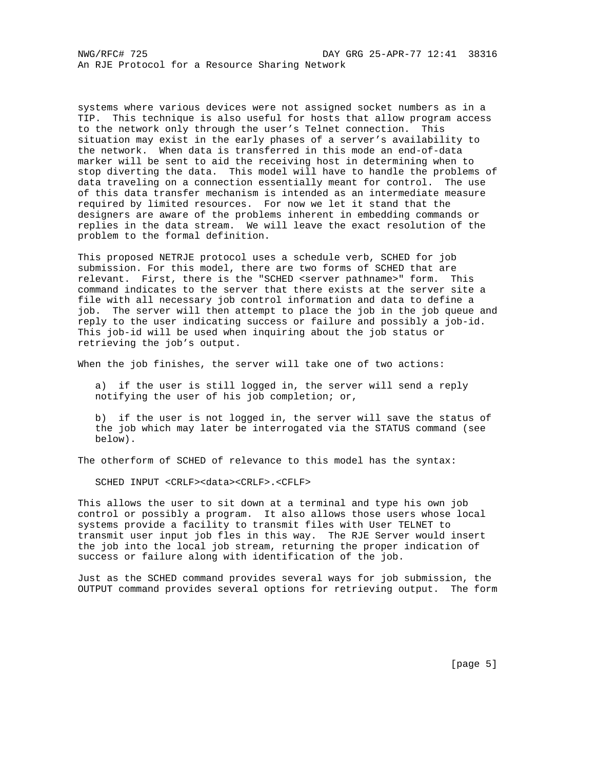systems where various devices were not assigned socket numbers as in a TIP. This technique is also useful for hosts that allow program access to the network only through the user's Telnet connection. This situation may exist in the early phases of a server's availability to the network. When data is transferred in this mode an end-of-data marker will be sent to aid the receiving host in determining when to stop diverting the data. This model will have to handle the problems of data traveling on a connection essentially meant for control. The use of this data transfer mechanism is intended as an intermediate measure required by limited resources. For now we let it stand that the designers are aware of the problems inherent in embedding commands or replies in the data stream. We will leave the exact resolution of the problem to the formal definition.

This proposed NETRJE protocol uses a schedule verb, SCHED for job submission. For this model, there are two forms of SCHED that are relevant. First, there is the "SCHED <server pathname>" form. This command indicates to the server that there exists at the server site a file with all necessary job control information and data to define a job. The server will then attempt to place the job in the job queue and reply to the user indicating success or failure and possibly a job-id. This job-id will be used when inquiring about the job status or retrieving the job's output.

When the job finishes, the server will take one of two actions:

 a) if the user is still logged in, the server will send a reply notifying the user of his job completion; or,

 b) if the user is not logged in, the server will save the status of the job which may later be interrogated via the STATUS command (see below).

The otherform of SCHED of relevance to this model has the syntax:

SCHED INPUT <CRLF><data><CRLF>.<CFLF>

This allows the user to sit down at a terminal and type his own job control or possibly a program. It also allows those users whose local systems provide a facility to transmit files with User TELNET to transmit user input job fles in this way. The RJE Server would insert the job into the local job stream, returning the proper indication of success or failure along with identification of the job.

Just as the SCHED command provides several ways for job submission, the OUTPUT command provides several options for retrieving output. The form

[page 5]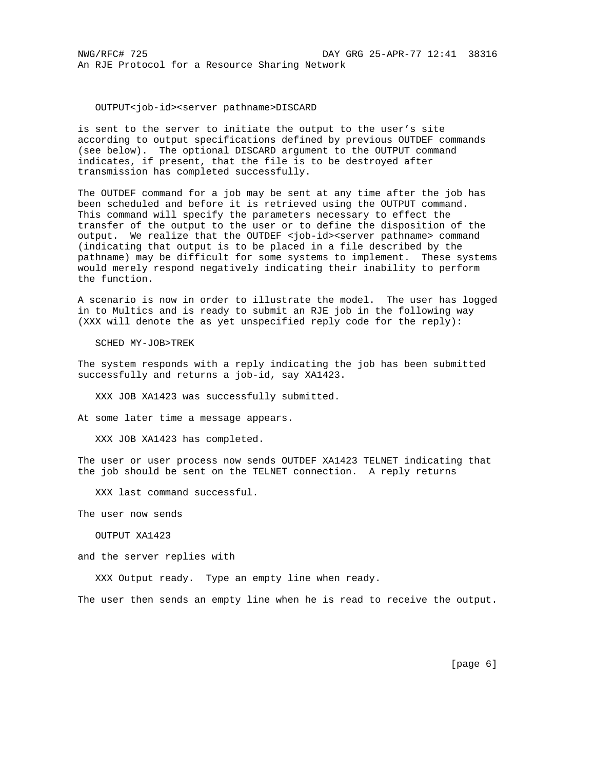### OUTPUT<job-id><server pathname>DISCARD

is sent to the server to initiate the output to the user's site according to output specifications defined by previous OUTDEF commands (see below). The optional DISCARD argument to the OUTPUT command indicates, if present, that the file is to be destroyed after transmission has completed successfully.

The OUTDEF command for a job may be sent at any time after the job has been scheduled and before it is retrieved using the OUTPUT command. This command will specify the parameters necessary to effect the transfer of the output to the user or to define the disposition of the output. We realize that the OUTDEF <job-id><server pathname> command (indicating that output is to be placed in a file described by the pathname) may be difficult for some systems to implement. These systems would merely respond negatively indicating their inability to perform the function.

A scenario is now in order to illustrate the model. The user has logged in to Multics and is ready to submit an RJE job in the following way (XXX will denote the as yet unspecified reply code for the reply):

SCHED MY-JOB>TREK

The system responds with a reply indicating the job has been submitted successfully and returns a job-id, say XA1423.

XXX JOB XA1423 was successfully submitted.

At some later time a message appears.

XXX JOB XA1423 has completed.

The user or user process now sends OUTDEF XA1423 TELNET indicating that the job should be sent on the TELNET connection. A reply returns

XXX last command successful.

The user now sends

OUTPUT XA1423

and the server replies with

XXX Output ready. Type an empty line when ready.

The user then sends an empty line when he is read to receive the output.

[page 6]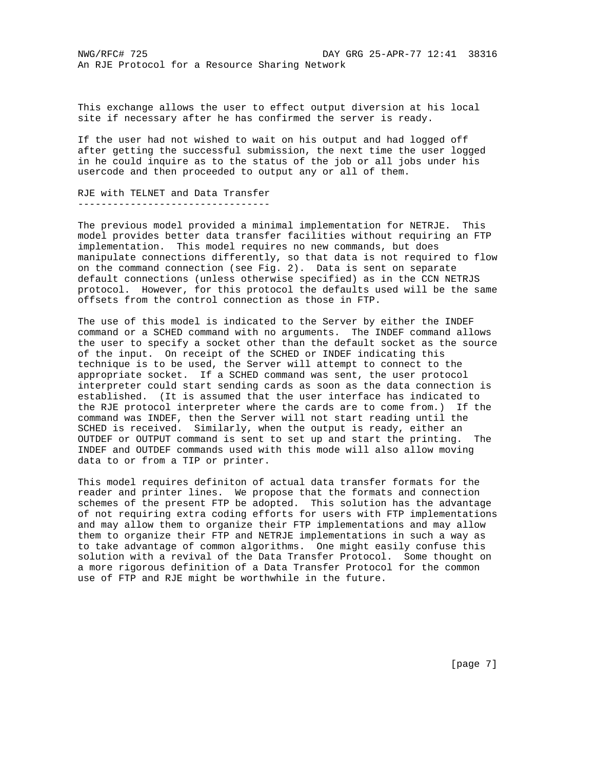This exchange allows the user to effect output diversion at his local site if necessary after he has confirmed the server is ready.

If the user had not wished to wait on his output and had logged off after getting the successful submission, the next time the user logged in he could inquire as to the status of the job or all jobs under his usercode and then proceeded to output any or all of them.

RJE with TELNET and Data Transfer ---------------------------------

The previous model provided a minimal implementation for NETRJE. This model provides better data transfer facilities without requiring an FTP implementation. This model requires no new commands, but does manipulate connections differently, so that data is not required to flow on the command connection (see Fig. 2). Data is sent on separate default connections (unless otherwise specified) as in the CCN NETRJS protocol. However, for this protocol the defaults used will be the same offsets from the control connection as those in FTP.

The use of this model is indicated to the Server by either the INDEF command or a SCHED command with no arguments. The INDEF command allows the user to specify a socket other than the default socket as the source of the input. On receipt of the SCHED or INDEF indicating this technique is to be used, the Server will attempt to connect to the appropriate socket. If a SCHED command was sent, the user protocol interpreter could start sending cards as soon as the data connection is established. (It is assumed that the user interface has indicated to the RJE protocol interpreter where the cards are to come from.) If the command was INDEF, then the Server will not start reading until the SCHED is received. Similarly, when the output is ready, either an OUTDEF or OUTPUT command is sent to set up and start the printing. The INDEF and OUTDEF commands used with this mode will also allow moving data to or from a TIP or printer.

This model requires definiton of actual data transfer formats for the reader and printer lines. We propose that the formats and connection schemes of the present FTP be adopted. This solution has the advantage of not requiring extra coding efforts for users with FTP implementations and may allow them to organize their FTP implementations and may allow them to organize their FTP and NETRJE implementations in such a way as to take advantage of common algorithms. One might easily confuse this solution with a revival of the Data Transfer Protocol. Some thought on a more rigorous definition of a Data Transfer Protocol for the common use of FTP and RJE might be worthwhile in the future.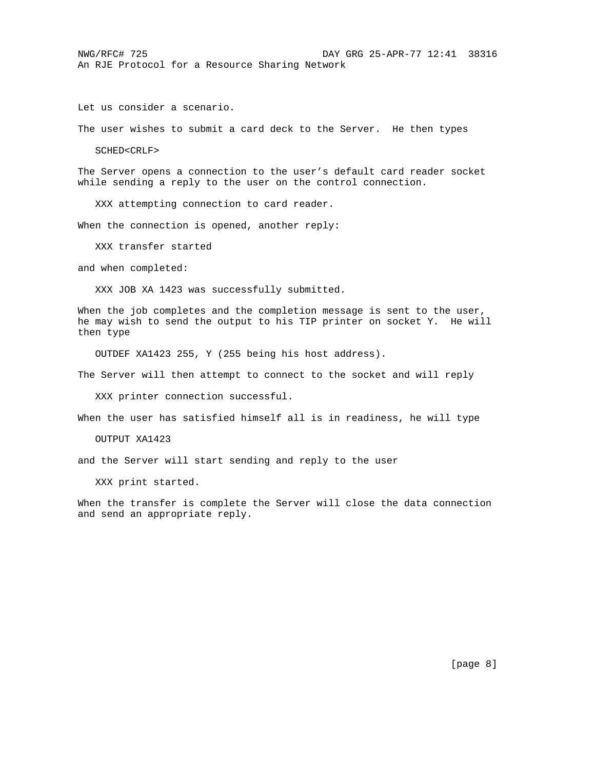Let us consider a scenario.

The user wishes to submit a card deck to the Server. He then types

SCHED<CRLF>

The Server opens a connection to the user's default card reader socket while sending a reply to the user on the control connection.

XXX attempting connection to card reader.

When the connection is opened, another reply:

XXX transfer started

and when completed:

XXX JOB XA 1423 was successfully submitted.

When the job completes and the completion message is sent to the user, he may wish to send the output to his TIP printer on socket Y. He will then type

OUTDEF XA1423 255, Y (255 being his host address).

The Server will then attempt to connect to the socket and will reply

XXX printer connection successful.

When the user has satisfied himself all is in readiness, he will type

OUTPUT XA1423

and the Server will start sending and reply to the user

XXX print started.

When the transfer is complete the Server will close the data connection and send an appropriate reply.

[page 8]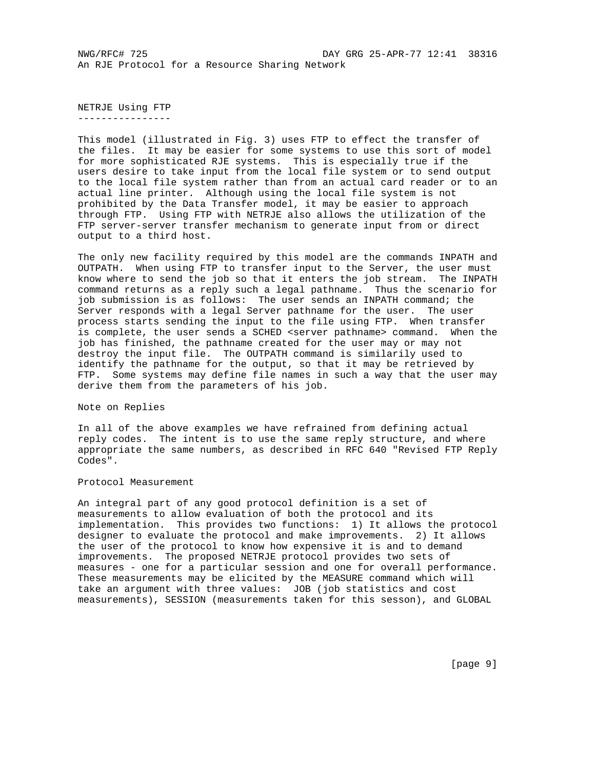NETRJE Using FTP ----------------

This model (illustrated in Fig. 3) uses FTP to effect the transfer of the files. It may be easier for some systems to use this sort of model for more sophisticated RJE systems. This is especially true if the users desire to take input from the local file system or to send output to the local file system rather than from an actual card reader or to an actual line printer. Although using the local file system is not prohibited by the Data Transfer model, it may be easier to approach through FTP. Using FTP with NETRJE also allows the utilization of the FTP server-server transfer mechanism to generate input from or direct output to a third host.

The only new facility required by this model are the commands INPATH and OUTPATH. When using FTP to transfer input to the Server, the user must know where to send the job so that it enters the job stream. The INPATH command returns as a reply such a legal pathname. Thus the scenario for job submission is as follows: The user sends an INPATH command; the Server responds with a legal Server pathname for the user. The user process starts sending the input to the file using FTP. When transfer is complete, the user sends a SCHED <server pathname> command. When the job has finished, the pathname created for the user may or may not destroy the input file. The OUTPATH command is similarily used to identify the pathname for the output, so that it may be retrieved by FTP. Some systems may define file names in such a way that the user may derive them from the parameters of his job.

Note on Replies

In all of the above examples we have refrained from defining actual reply codes. The intent is to use the same reply structure, and where appropriate the same numbers, as described in RFC 640 "Revised FTP Reply Codes".

Protocol Measurement

An integral part of any good protocol definition is a set of measurements to allow evaluation of both the protocol and its implementation. This provides two functions: 1) It allows the protocol designer to evaluate the protocol and make improvements. 2) It allows the user of the protocol to know how expensive it is and to demand improvements. The proposed NETRJE protocol provides two sets of measures - one for a particular session and one for overall performance. These measurements may be elicited by the MEASURE command which will take an argument with three values: JOB (job statistics and cost measurements), SESSION (measurements taken for this sesson), and GLOBAL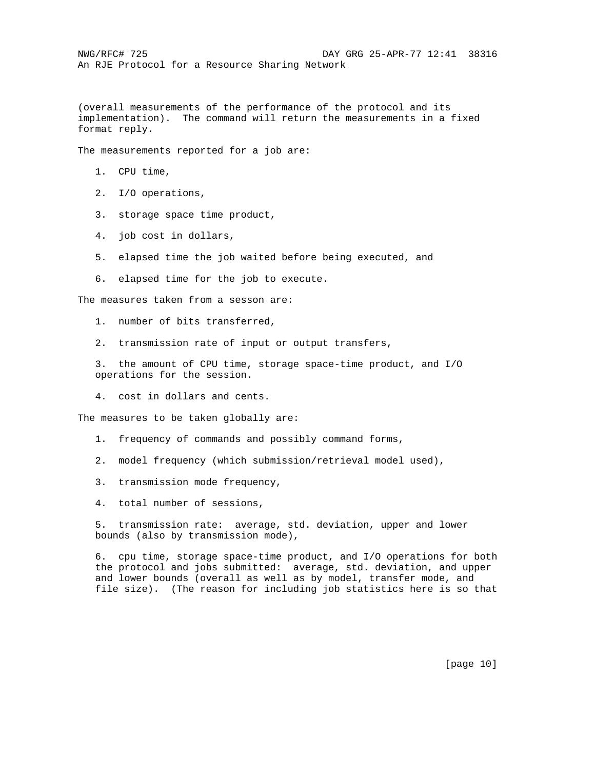(overall measurements of the performance of the protocol and its implementation). The command will return the measurements in a fixed format reply.

The measurements reported for a job are:

- 1. CPU time,
- 2. I/O operations,
- 3. storage space time product,
- 4. job cost in dollars,
- 5. elapsed time the job waited before being executed, and
- 6. elapsed time for the job to execute.

The measures taken from a sesson are:

- 1. number of bits transferred,
- 2. transmission rate of input or output transfers,

 3. the amount of CPU time, storage space-time product, and I/O operations for the session.

4. cost in dollars and cents.

The measures to be taken globally are:

- 1. frequency of commands and possibly command forms,
- 2. model frequency (which submission/retrieval model used),
- 3. transmission mode frequency,
- 4. total number of sessions,

 5. transmission rate: average, std. deviation, upper and lower bounds (also by transmission mode),

 6. cpu time, storage space-time product, and I/O operations for both the protocol and jobs submitted: average, std. deviation, and upper and lower bounds (overall as well as by model, transfer mode, and file size). (The reason for including job statistics here is so that

[page 10]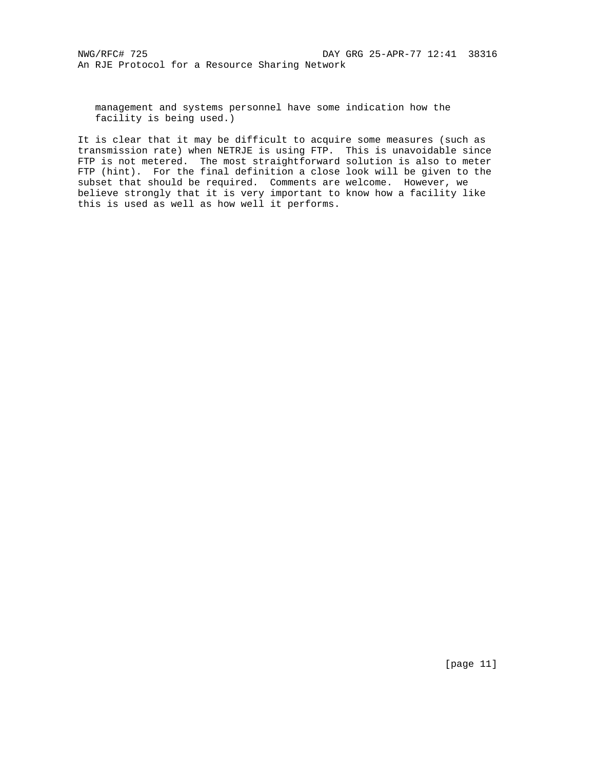management and systems personnel have some indication how the facility is being used.)

It is clear that it may be difficult to acquire some measures (such as transmission rate) when NETRJE is using FTP. This is unavoidable since FTP is not metered. The most straightforward solution is also to meter FTP (hint). For the final definition a close look will be given to the subset that should be required. Comments are welcome. However, we believe strongly that it is very important to know how a facility like this is used as well as how well it performs.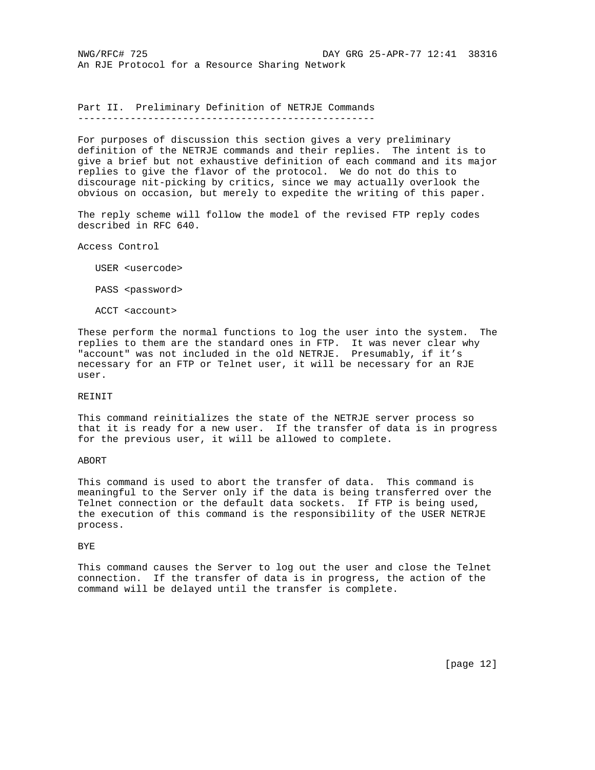Part II. Preliminary Definition of NETRJE Commands ---------------------------------------------------

For purposes of discussion this section gives a very preliminary definition of the NETRJE commands and their replies. The intent is to give a brief but not exhaustive definition of each command and its major replies to give the flavor of the protocol. We do not do this to discourage nit-picking by critics, since we may actually overlook the obvious on occasion, but merely to expedite the writing of this paper.

The reply scheme will follow the model of the revised FTP reply codes described in RFC 640.

Access Control

USER <usercode>

PASS <password>

ACCT <account>

These perform the normal functions to log the user into the system. The replies to them are the standard ones in FTP. It was never clear why "account" was not included in the old NETRJE. Presumably, if it's necessary for an FTP or Telnet user, it will be necessary for an RJE user.

### REINIT

This command reinitializes the state of the NETRJE server process so that it is ready for a new user. If the transfer of data is in progress for the previous user, it will be allowed to complete.

## ABORT

This command is used to abort the transfer of data. This command is meaningful to the Server only if the data is being transferred over the Telnet connection or the default data sockets. If FTP is being used, the execution of this command is the responsibility of the USER NETRJE process.

#### BYE

This command causes the Server to log out the user and close the Telnet connection. If the transfer of data is in progress, the action of the command will be delayed until the transfer is complete.

[page 12]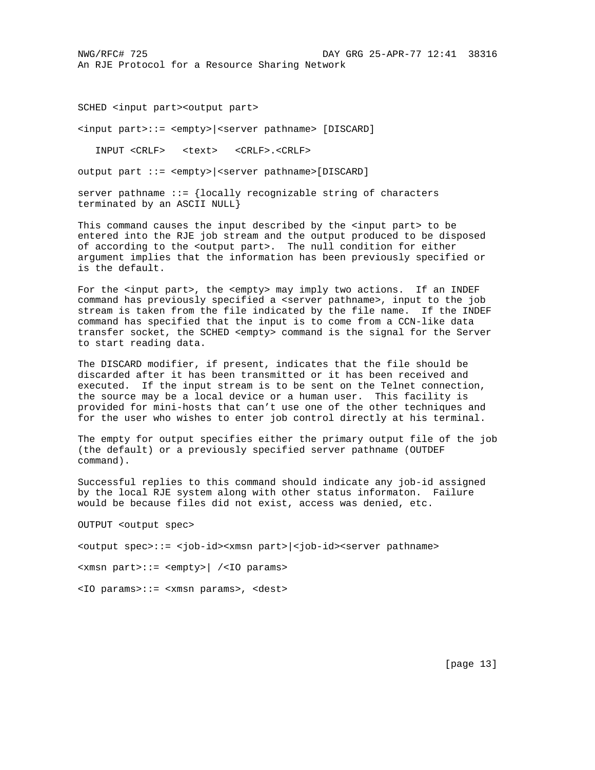SCHED <input part><output part>

<input part>::= <empty>|<server pathname> [DISCARD]

INPUT <CRLF> <text> <CRLF>.<CRLF>

output part ::= <empty>|<server pathname>[DISCARD]

server pathname  $\cdots$  {locally recognizable string of characters terminated by an ASCII NULL}

This command causes the input described by the <input part> to be entered into the RJE job stream and the output produced to be disposed of according to the <output part>. The null condition for either argument implies that the information has been previously specified or is the default.

For the <input part>, the <empty> may imply two actions. If an INDEF command has previously specified a <server pathname>, input to the job stream is taken from the file indicated by the file name. If the INDEF command has specified that the input is to come from a CCN-like data transfer socket, the SCHED <empty> command is the signal for the Server to start reading data.

The DISCARD modifier, if present, indicates that the file should be discarded after it has been transmitted or it has been received and executed. If the input stream is to be sent on the Telnet connection, the source may be a local device or a human user. This facility is provided for mini-hosts that can't use one of the other techniques and for the user who wishes to enter job control directly at his terminal.

The empty for output specifies either the primary output file of the job (the default) or a previously specified server pathname (OUTDEF command).

Successful replies to this command should indicate any job-id assigned by the local RJE system along with other status informaton. Failure would be because files did not exist, access was denied, etc.

OUTPUT <output spec>

<output spec>::= <job-id><xmsn part>|<job-id><server pathname>

<xmsn part>::= <empty>| /<IO params>

<IO params>::= <xmsn params>, <dest>

[page 13]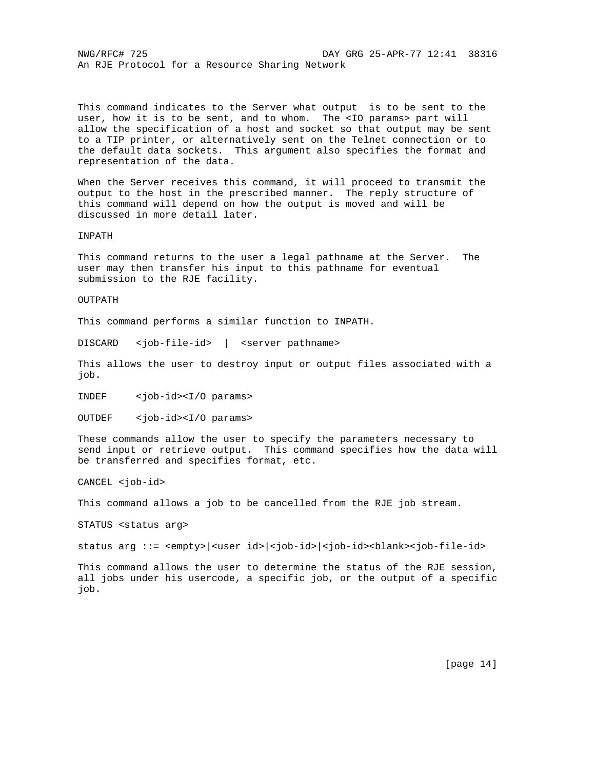This command indicates to the Server what output is to be sent to the user, how it is to be sent, and to whom. The <IO params> part will allow the specification of a host and socket so that output may be sent to a TIP printer, or alternatively sent on the Telnet connection or to the default data sockets. This argument also specifies the format and representation of the data.

When the Server receives this command, it will proceed to transmit the output to the host in the prescribed manner. The reply structure of this command will depend on how the output is moved and will be discussed in more detail later.

INPATH

This command returns to the user a legal pathname at the Server. The user may then transfer his input to this pathname for eventual submission to the RJE facility.

OUTPATH

This command performs a similar function to INPATH.

DISCARD <job-file-id> | <server pathname>

This allows the user to destroy input or output files associated with a job.

INDEF <job-id><I/O params>

OUTDEF <job-id><I/O params>

These commands allow the user to specify the parameters necessary to send input or retrieve output. This command specifies how the data will be transferred and specifies format, etc.

CANCEL <job-id>

This command allows a job to be cancelled from the RJE job stream.

STATUS <status arg>

status arg ::= <empty>|<user id>|<job-id>|<job-id><blank><job-file-id>

This command allows the user to determine the status of the RJE session, all jobs under his usercode, a specific job, or the output of a specific job.

[page 14]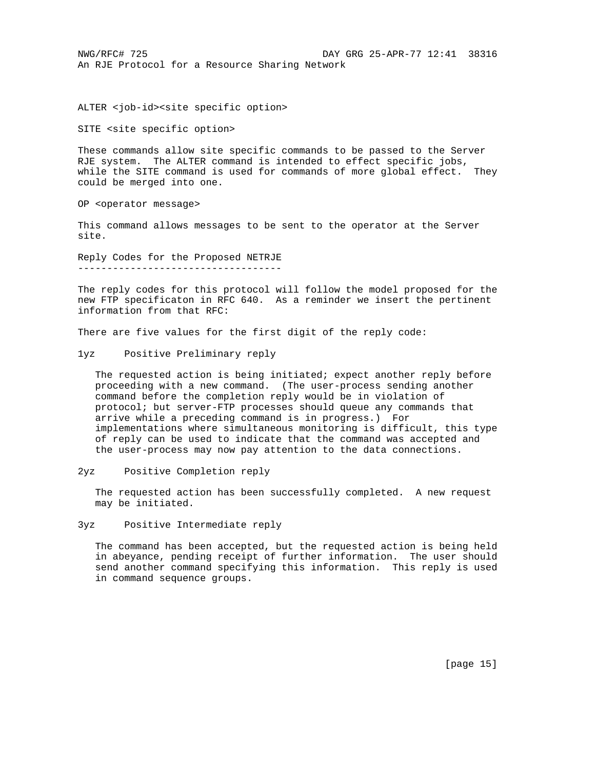ALTER <job-id><site specific option>

SITE <site specific option>

These commands allow site specific commands to be passed to the Server RJE system. The ALTER command is intended to effect specific jobs, while the SITE command is used for commands of more global effect. They could be merged into one.

OP <operator message>

This command allows messages to be sent to the operator at the Server site.

Reply Codes for the Proposed NETRJE -----------------------------------

The reply codes for this protocol will follow the model proposed for the new FTP specificaton in RFC 640. As a reminder we insert the pertinent information from that RFC:

There are five values for the first digit of the reply code:

1yz Positive Preliminary reply

 The requested action is being initiated; expect another reply before proceeding with a new command. (The user-process sending another command before the completion reply would be in violation of protocol; but server-FTP processes should queue any commands that arrive while a preceding command is in progress.) For implementations where simultaneous monitoring is difficult, this type of reply can be used to indicate that the command was accepted and the user-process may now pay attention to the data connections.

2yz Positive Completion reply

 The requested action has been successfully completed. A new request may be initiated.

3yz Positive Intermediate reply

 The command has been accepted, but the requested action is being held in abeyance, pending receipt of further information. The user should send another command specifying this information. This reply is used in command sequence groups.

[page 15]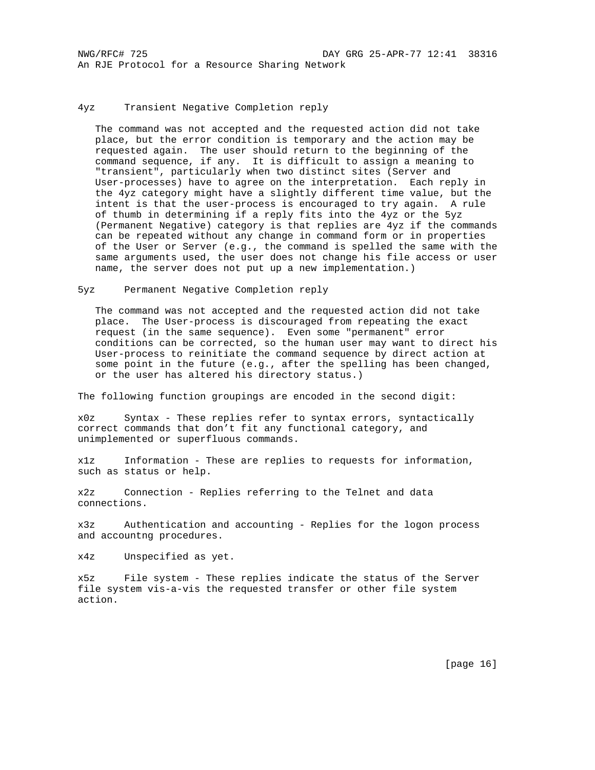### 4yz Transient Negative Completion reply

 The command was not accepted and the requested action did not take place, but the error condition is temporary and the action may be requested again. The user should return to the beginning of the command sequence, if any. It is difficult to assign a meaning to "transient", particularly when two distinct sites (Server and User-processes) have to agree on the interpretation. Each reply in the 4yz category might have a slightly different time value, but the intent is that the user-process is encouraged to try again. A rule of thumb in determining if a reply fits into the 4yz or the 5yz (Permanent Negative) category is that replies are 4yz if the commands can be repeated without any change in command form or in properties of the User or Server (e.g., the command is spelled the same with the same arguments used, the user does not change his file access or user name, the server does not put up a new implementation.)

#### 5yz Permanent Negative Completion reply

 The command was not accepted and the requested action did not take place. The User-process is discouraged from repeating the exact request (in the same sequence). Even some "permanent" error conditions can be corrected, so the human user may want to direct his User-process to reinitiate the command sequence by direct action at some point in the future (e.g., after the spelling has been changed, or the user has altered his directory status.)

The following function groupings are encoded in the second digit:

x0z Syntax - These replies refer to syntax errors, syntactically correct commands that don't fit any functional category, and unimplemented or superfluous commands.

x1z Information - These are replies to requests for information, such as status or help.

x2z Connection - Replies referring to the Telnet and data connections.

x3z Authentication and accounting - Replies for the logon process and accountng procedures.

x4z Unspecified as yet.

x5z File system - These replies indicate the status of the Server file system vis-a-vis the requested transfer or other file system action.

[page 16]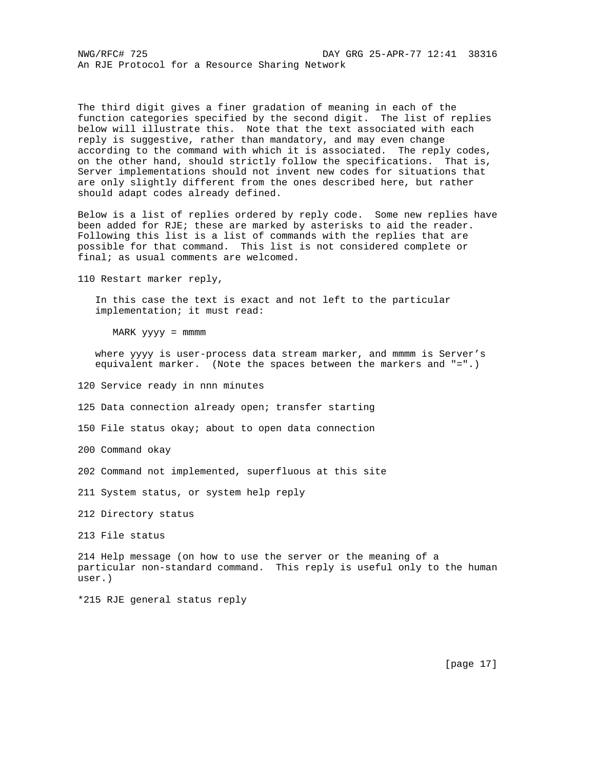The third digit gives a finer gradation of meaning in each of the function categories specified by the second digit. The list of replies below will illustrate this. Note that the text associated with each reply is suggestive, rather than mandatory, and may even change according to the command with which it is associated. The reply codes, on the other hand, should strictly follow the specifications. That is, Server implementations should not invent new codes for situations that are only slightly different from the ones described here, but rather should adapt codes already defined.

Below is a list of replies ordered by reply code. Some new replies have been added for RJE; these are marked by asterisks to aid the reader. Following this list is a list of commands with the replies that are possible for that command. This list is not considered complete or final; as usual comments are welcomed.

110 Restart marker reply,

 In this case the text is exact and not left to the particular implementation; it must read:

MARK yyyy = mmmm

 where yyyy is user-process data stream marker, and mmmm is Server's equivalent marker. (Note the spaces between the markers and "=".)

120 Service ready in nnn minutes

125 Data connection already open; transfer starting

150 File status okay; about to open data connection

200 Command okay

202 Command not implemented, superfluous at this site

211 System status, or system help reply

212 Directory status

213 File status

214 Help message (on how to use the server or the meaning of a particular non-standard command. This reply is useful only to the human user.)

\*215 RJE general status reply

[page 17]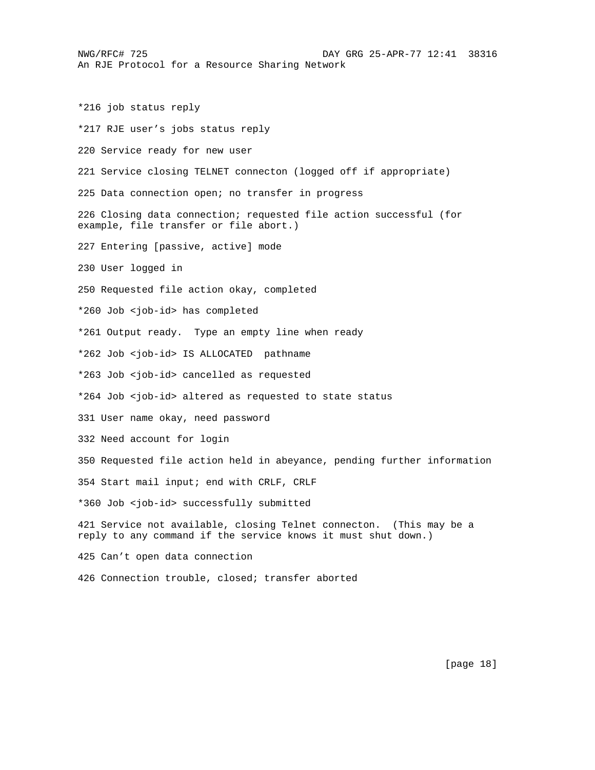\*216 job status reply \*217 RJE user's jobs status reply 220 Service ready for new user 221 Service closing TELNET connecton (logged off if appropriate) 225 Data connection open; no transfer in progress 226 Closing data connection; requested file action successful (for example, file transfer or file abort.) 227 Entering [passive, active] mode 230 User logged in 250 Requested file action okay, completed \*260 Job <job-id> has completed \*261 Output ready. Type an empty line when ready \*262 Job <job-id> IS ALLOCATED pathname \*263 Job <job-id> cancelled as requested \*264 Job <job-id> altered as requested to state status 331 User name okay, need password 332 Need account for login 350 Requested file action held in abeyance, pending further information 354 Start mail input; end with CRLF, CRLF \*360 Job <job-id> successfully submitted 421 Service not available, closing Telnet connecton. (This may be a reply to any command if the service knows it must shut down.) 425 Can't open data connection

426 Connection trouble, closed; transfer aborted

[page 18]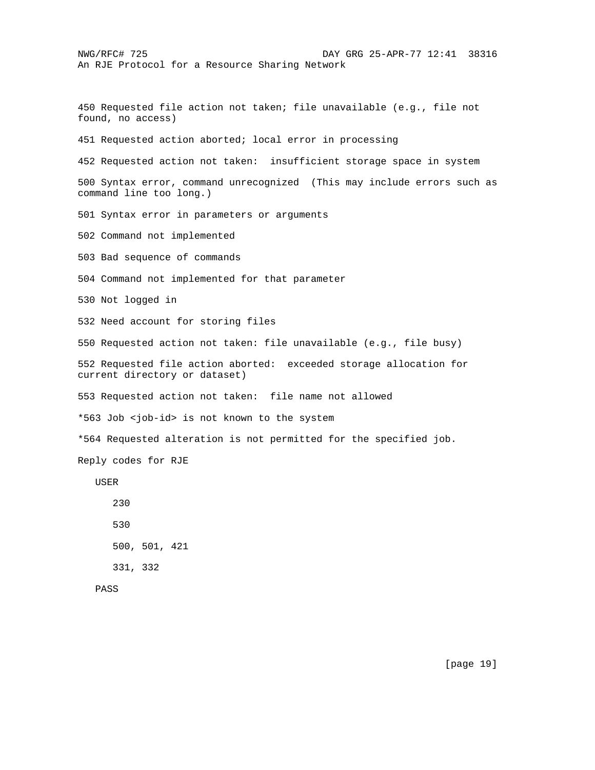NWG/RFC# 725 DAY GRG 25-APR-77 12:41 38316 An RJE Protocol for a Resource Sharing Network 450 Requested file action not taken; file unavailable (e.g., file not found, no access) 451 Requested action aborted; local error in processing 452 Requested action not taken: insufficient storage space in system 500 Syntax error, command unrecognized (This may include errors such as command line too long.) 501 Syntax error in parameters or arguments 502 Command not implemented 503 Bad sequence of commands 504 Command not implemented for that parameter 530 Not logged in 532 Need account for storing files 550 Requested action not taken: file unavailable (e.g., file busy) 552 Requested file action aborted: exceeded storage allocation for current directory or dataset) 553 Requested action not taken: file name not allowed \*563 Job <job-id> is not known to the system \*564 Requested alteration is not permitted for the specified job. Reply codes for RJE USER 230 530 500, 501, 421 331, 332

PASS

[page 19]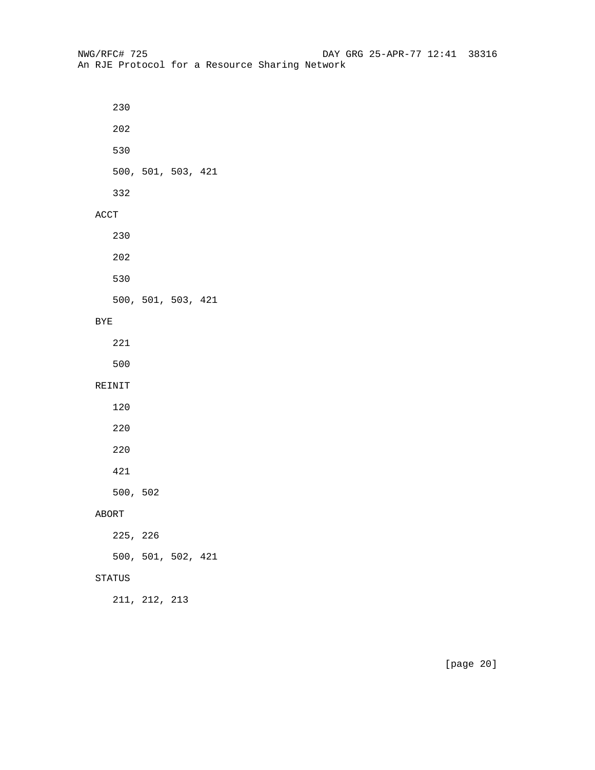230 202 530 500, 501, 503, 421 332 ACCT 230 202 530 500, 501, 503, 421 BYE 221 500 REINIT 120 220 220 421 500, 502 ABORT 225, 226 500, 501, 502, 421 STATUS 211, 212, 213

[page 20]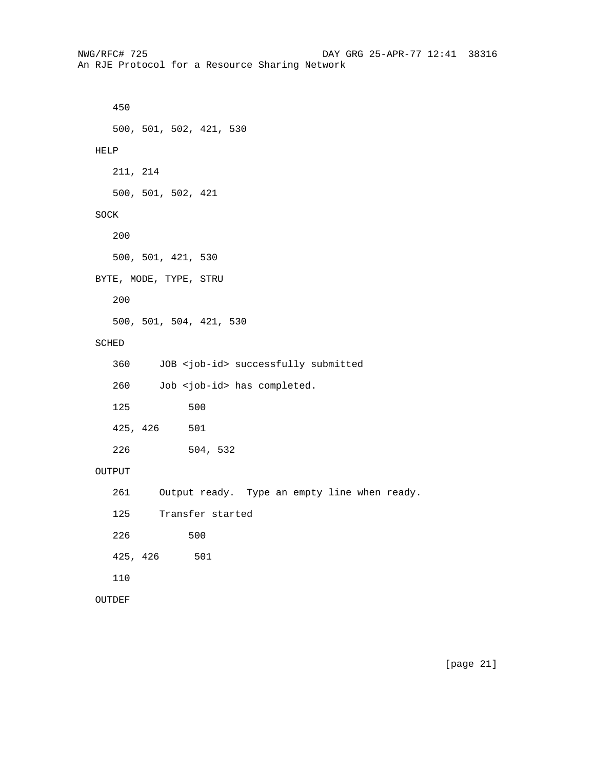450 500, 501, 502, 421, 530 HELP 211, 214 500, 501, 502, 421 SOCK 200 500, 501, 421, 530 BYTE, MODE, TYPE, STRU 200 500, 501, 504, 421, 530 SCHED 360 JOB <job-id> successfully submitted 260 Job <job-id> has completed. 125 500 425, 426 501 226 504, 532 OUTPUT 261 Output ready. Type an empty line when ready. 125 Transfer started 226 500 425, 426 501 110 OUTDEF

[page 21]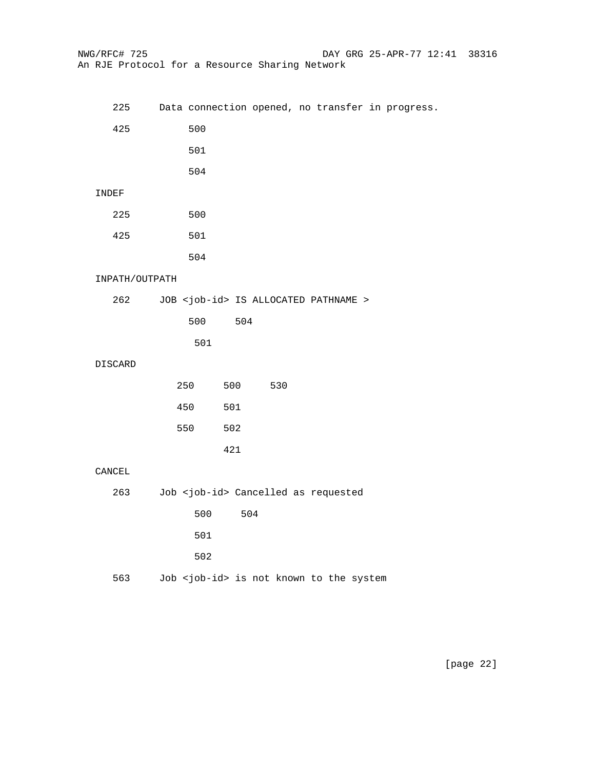| 225                                                  |                                                  |     |     |  |  | Data connection opened, no transfer in progress. |  |
|------------------------------------------------------|--------------------------------------------------|-----|-----|--|--|--------------------------------------------------|--|
| 425                                                  | 500                                              |     |     |  |  |                                                  |  |
|                                                      | 501                                              |     |     |  |  |                                                  |  |
|                                                      | 504                                              |     |     |  |  |                                                  |  |
| INDEF                                                |                                                  |     |     |  |  |                                                  |  |
| 225                                                  | 500                                              |     |     |  |  |                                                  |  |
| 425                                                  | 501                                              |     |     |  |  |                                                  |  |
|                                                      | 504                                              |     |     |  |  |                                                  |  |
| INPATH/OUTPATH                                       |                                                  |     |     |  |  |                                                  |  |
| 262                                                  | JOB <job-id> IS ALLOCATED PATHNAME &gt;</job-id> |     |     |  |  |                                                  |  |
|                                                      | 500                                              | 504 |     |  |  |                                                  |  |
|                                                      | 501                                              |     |     |  |  |                                                  |  |
| DISCARD                                              |                                                  |     |     |  |  |                                                  |  |
|                                                      | 250                                              | 500 | 530 |  |  |                                                  |  |
|                                                      | 450                                              | 501 |     |  |  |                                                  |  |
|                                                      | 550                                              | 502 |     |  |  |                                                  |  |
|                                                      |                                                  | 421 |     |  |  |                                                  |  |
| CANCEL                                               |                                                  |     |     |  |  |                                                  |  |
| Job <job-id> Cancelled as requested<br/>263</job-id> |                                                  |     |     |  |  |                                                  |  |
|                                                      | 500                                              | 504 |     |  |  |                                                  |  |
|                                                      | 501                                              |     |     |  |  |                                                  |  |
|                                                      | 502                                              |     |     |  |  |                                                  |  |
| 563                                                  | Job <job-id> is not known to the system</job-id> |     |     |  |  |                                                  |  |

[page 22]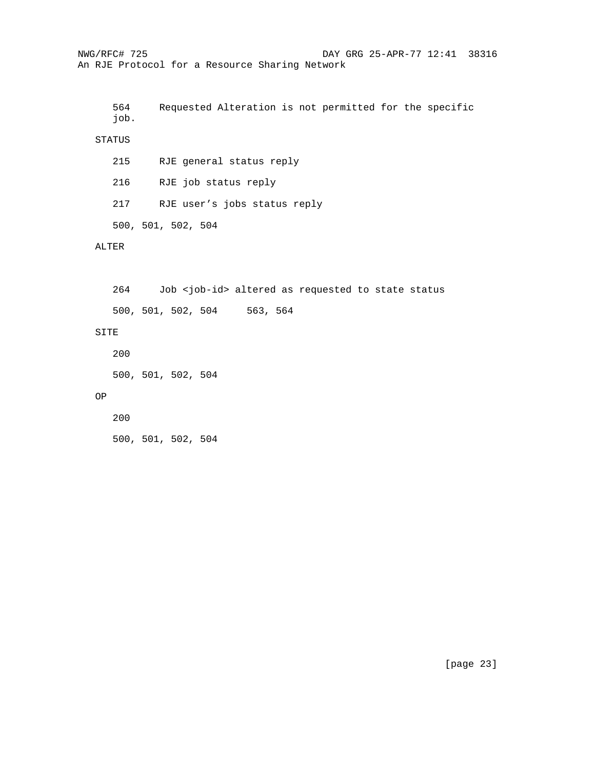NWG/RFC# 725 DAY GRG 25-APR-77 12:41 38316 An RJE Protocol for a Resource Sharing Network 564 Requested Alteration is not permitted for the specific job. STATUS 215 RJE general status reply 216 RJE job status reply 217 RJE user's jobs status reply 500, 501, 502, 504 ALTER 264 Job <job-id> altered as requested to state status 500, 501, 502, 504 563, 564 SITE 200 500, 501, 502, 504 OP 200 500, 501, 502, 504

[page 23]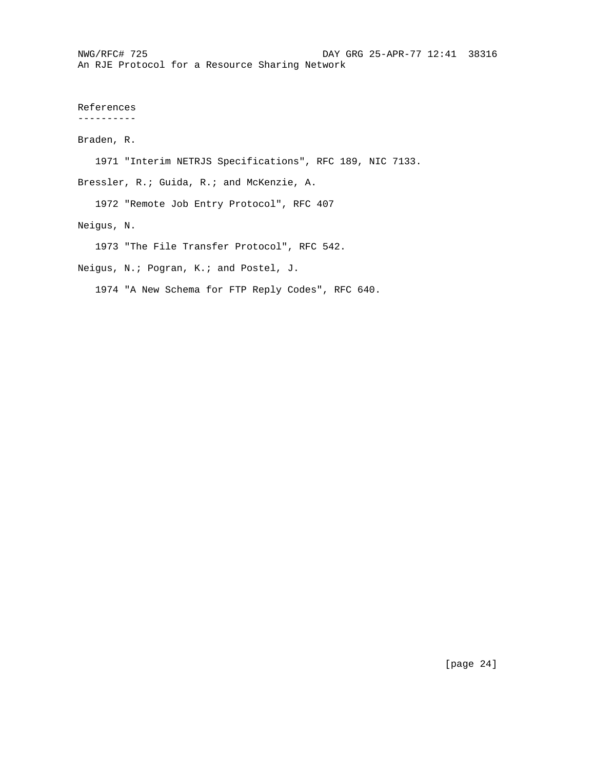```
References
----------
```
Braden, R.

1971 "Interim NETRJS Specifications", RFC 189, NIC 7133.

Bressler, R.; Guida, R.; and McKenzie, A.

1972 "Remote Job Entry Protocol", RFC 407

Neigus, N.

1973 "The File Transfer Protocol", RFC 542.

Neigus, N.; Pogran, K.; and Postel, J.

1974 "A New Schema for FTP Reply Codes", RFC 640.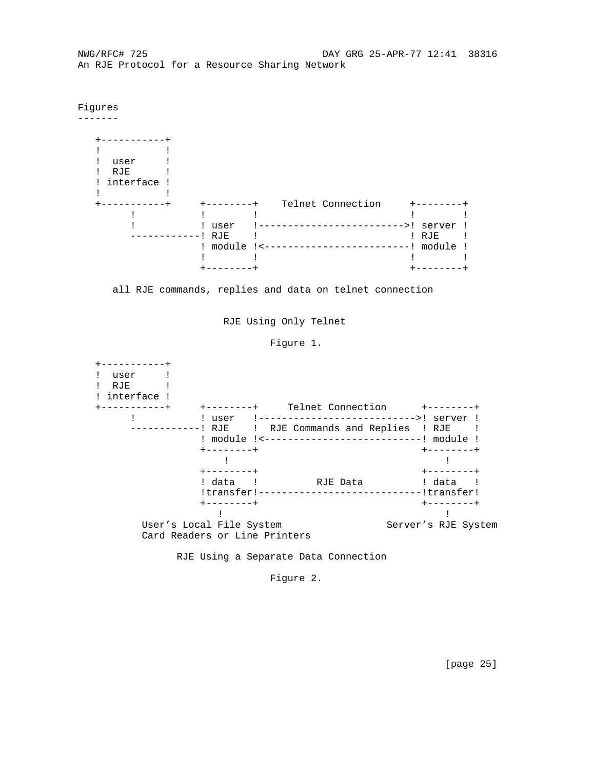Figures

-------

| $- - - - - -$ |             |  |                   |            |  |
|---------------|-------------|--|-------------------|------------|--|
|               |             |  |                   |            |  |
| user          |             |  |                   |            |  |
| RJE           |             |  |                   |            |  |
| ! interface ! |             |  |                   |            |  |
|               |             |  |                   |            |  |
|               |             |  | Telnet Connection |            |  |
|               |             |  |                   |            |  |
|               | ! user      |  |                   | ->! server |  |
|               | ! RJE       |  |                   | ! RJE      |  |
|               | ! module !< |  |                   | module !   |  |
|               |             |  |                   |            |  |
|               |             |  |                   |            |  |

all RJE commands, replies and data on telnet connection

RJE Using Only Telnet

# Figure 1.

 +-----------+ ! user ! ! RJE ! ! interface !<br>+-----------+<br>! +-----------+ +--------+ Telnet Connection +--------+ ! ! user !--------------------------->! server ! -----------! RJE ! RJE Commands and Replies ! RJE ! ! module !<---------------------------! module ! +--------+ +--------+ . The contract of the contract of the contract of the contract of the contract of the contract of the contract +--------+ +--------+ ! data ! RJE Data !transfer!----------------------------!transfer! +--------+ +--------+ If you have a set of the set of the set of the set of the set of the set of the set of the set of the set of t User's Local File System Server's RJE System Card Readers or Line Printers

RJE Using a Separate Data Connection

Figure 2.

[page 25]